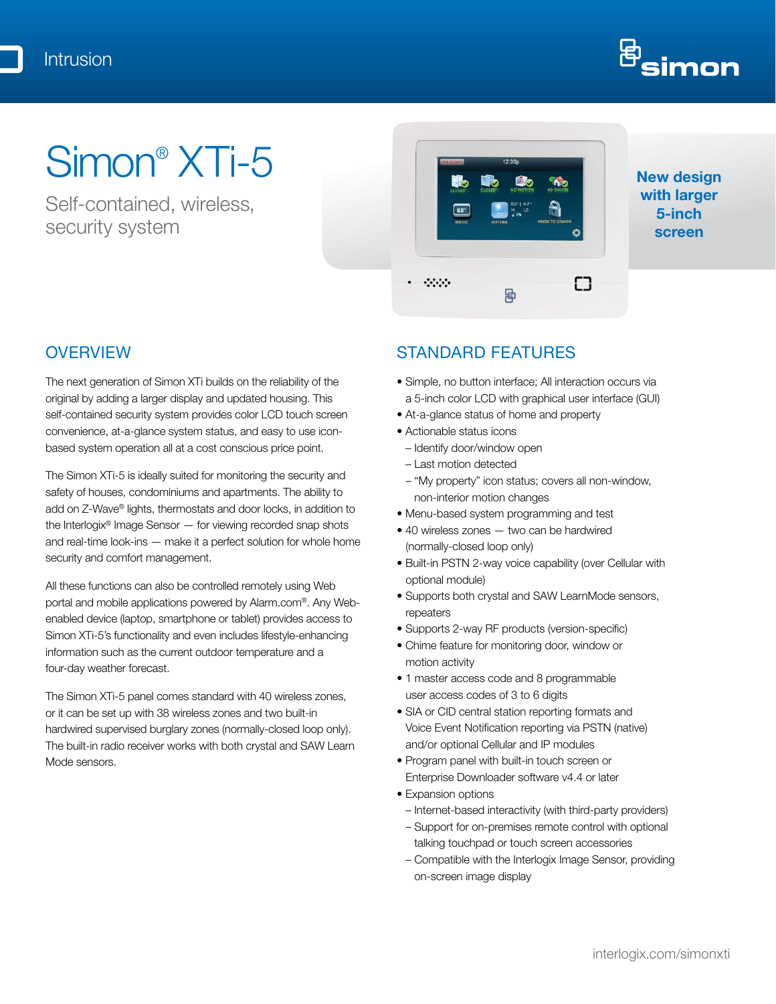

# Simon® XTi-5

Self-contained, wireless, security system



#### New design with larger 5-inch screen

## **OVERVIEW**

The next generation of Simon XTi builds on the reliability of the original by adding a larger display and updated housing. This self-contained security system provides color LCD touch screen convenience, at-a-glance system status, and easy to use iconbased system operation all at a cost conscious price point.

The Simon XTi-5 is ideally suited for monitoring the security and safety of houses, condominiums and apartments. The ability to add on Z-Wave® lights, thermostats and door locks, in addition to the Interlogix® Image Sensor — for viewing recorded snap shots and real-time look-ins — make it a perfect solution for whole home security and comfort management.

All these functions can also be controlled remotely using Web portal and mobile applications powered by Alarm.com®. Any Webenabled device (laptop, smartphone or tablet) provides access to Simon XTi-5's functionality and even includes lifestyle-enhancing information such as the current outdoor temperature and a four-day weather forecast.

The Simon XTi-5 panel comes standard with 40 wireless zones, or it can be set up with 38 wireless zones and two built-in hardwired supervised burglary zones (normally-closed loop only). The built-in radio receiver works with both crystal and SAW Learn Mode sensors.

## STANDARD FEATURES

- Simple, no button interface; All interaction occurs via a 5-inch color LCD with graphical user interface (GUI)
- At-a-glance status of home and property
- Actionable status icons
- Identify door/window open
- Last motion detected
- "My property" icon status; covers all non-window, non-interior motion changes
- Menu-based system programming and test
- 40 wireless zones two can be hardwired (normally-closed loop only)
- Built-in PSTN 2-way voice capability (over Cellular with optional module)
- Supports both crystal and SAW LearnMode sensors, repeaters
- Supports 2-way RF products (version-specific)
- Chime feature for monitoring door, window or motion activity
- 1 master access code and 8 programmable user access codes of 3 to 6 digits
- SIA or CID central station reporting formats and Voice Event Notification reporting via PSTN (native) and/or optional Cellular and IP modules
- Program panel with built-in touch screen or Enterprise Downloader software v4.4 or later
- Expansion options
- Internet-based interactivity (with third-party providers)
- Support for on-premises remote control with optional talking touchpad or touch screen accessories
- Compatible with the Interlogix Image Sensor, providing on-screen image display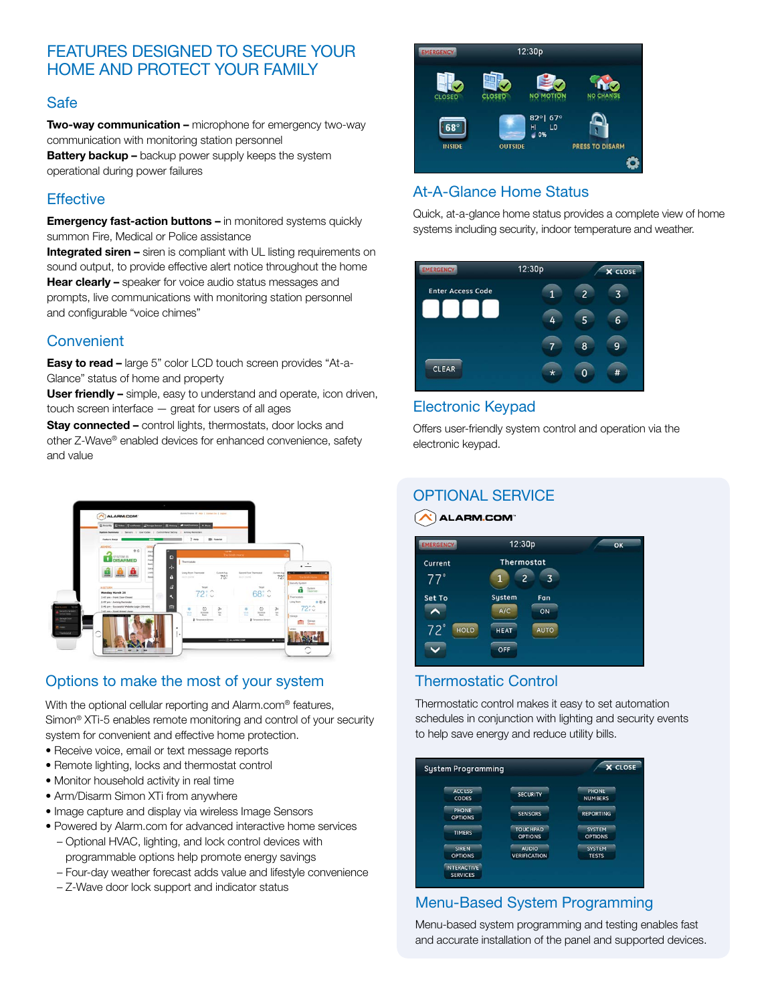## FEATURES DESIGNED TO SECURE YOUR HOME AND PROTECT YOUR FAMILY

#### Safe

**Two-way communication –** microphone for emergency two-way communication with monitoring station personnel **Battery backup –** backup power supply keeps the system operational during power failures

#### **Effective**

**Emergency fast-action buttons – in monitored systems quickly** summon Fire, Medical or Police assistance

Integrated siren – siren is compliant with UL listing requirements on sound output, to provide effective alert notice throughout the home Hear clearly - speaker for voice audio status messages and prompts, live communications with monitoring station personnel and configurable "voice chimes"

## **Convenient**

Easy to read - large 5" color LCD touch screen provides "At-a-Glance" status of home and property

User friendly – simple, easy to understand and operate, icon driven, touch screen interface — great for users of all ages

Stay connected - control lights, thermostats, door locks and other Z-Wave® enabled devices for enhanced convenience, safety and value



## Options to make the most of your system

With the optional cellular reporting and Alarm.com® features, Simon® XTi-5 enables remote monitoring and control of your security system for convenient and effective home protection.

- Receive voice, email or text message reports
- Remote lighting, locks and thermostat control
- Monitor household activity in real time
- Arm/Disarm Simon XTi from anywhere
- Image capture and display via wireless Image Sensors
- Powered by Alarm.com for advanced interactive home services
	- Optional HVAC, lighting, and lock control devices with programmable options help promote energy savings
	- Four-day weather forecast adds value and lifestyle convenience
	- Z-Wave door lock support and indicator status



### At-A-Glance Home Status

Quick, at-a-glance home status provides a complete view of home systems including security, indoor temperature and weather.

| EMERGENCY                | 12:30p |   | <b>X</b> CLOSE |
|--------------------------|--------|---|----------------|
| <b>Enter Access Code</b> |        |   | 3              |
|                          |        |   | 6              |
|                          |        | я | a              |
| <b>CLEAR</b>             |        |   |                |

### Electronic Keypad

Offers user-friendly system control and operation via the electronic keypad.

## **OPTIONAL SERVICF**

 $\left(\bigwedge\right)$  ALARM.COM  $12:30p$  $\overline{\mathbf{r}}$ Current Thermostat  $12$  $\overline{\mathbf{3}}$  $77^\circ$ Set To System Fan  $\sim$  $A/C$ ON  $72^\circ$ HOLD HEAT AUTO  $\overline{\mathbf{v}}$ OFF

#### Thermostatic Control

Thermostatic control makes it easy to set automation schedules in conjunction with lighting and security events to help save energy and reduce utility bills.

| <b>System Programming</b>             |                                     |                                 |
|---------------------------------------|-------------------------------------|---------------------------------|
| <b>ACCESS</b><br>CODES                | <b>SECURITY</b>                     | PHONE<br><b>NUMBERS</b>         |
| PHONE<br><b>OPTIONS</b>               | <b>SENSORS</b>                      | <b>REPORTING</b>                |
| <b>TIMERS</b>                         | <b>TOUCHPAD</b><br><b>OPTIONS</b>   | <b>SYSTEM</b><br><b>OPTIONS</b> |
| <b>SIREN</b><br><b>OPTIONS</b>        | <b>AUDIO</b><br><b>VERIFICATION</b> | <b>SYSTEM</b><br><b>TESTS</b>   |
| <b>INTERACTIVE</b><br><b>SERVICES</b> |                                     |                                 |

### Menu-Based System Programming

Menu-based system programming and testing enables fast and accurate installation of the panel and supported devices.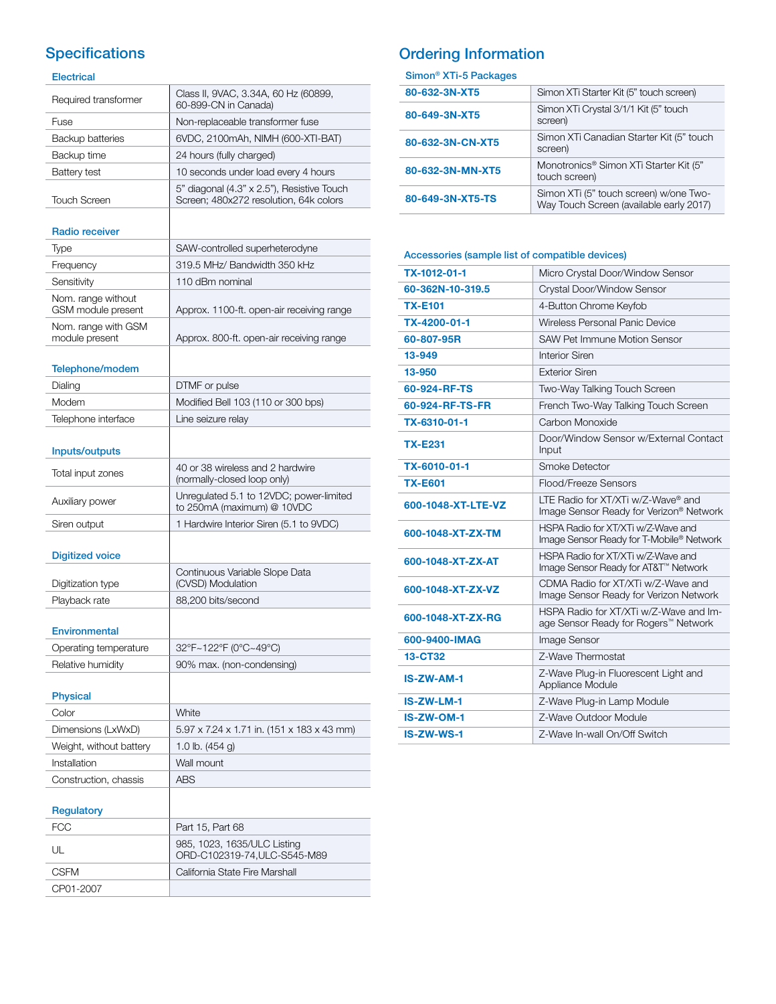## **Specifications**

#### Electrical

| Required transformer                     | Class II, 9VAC, 3.34A, 60 Hz (60899,<br>60-899-CN in Canada)                         |
|------------------------------------------|--------------------------------------------------------------------------------------|
| Fuse                                     | Non-replaceable transformer fuse                                                     |
| Backup batteries                         | 6VDC, 2100mAh, NIMH (600-XTI-BAT)                                                    |
| Backup time                              | 24 hours (fully charged)                                                             |
| <b>Battery test</b>                      | 10 seconds under load every 4 hours                                                  |
| <b>Touch Screen</b>                      | 5" diagonal (4.3" x 2.5"), Resistive Touch<br>Screen; 480x272 resolution, 64k colors |
| <b>Radio receiver</b>                    |                                                                                      |
| Type                                     | SAW-controlled superheterodyne                                                       |
| Frequency                                | 319.5 MHz/ Bandwidth 350 kHz                                                         |
| Sensitivity                              | 110 dBm nominal                                                                      |
| Nom. range without<br>GSM module present | Approx. 1100-ft. open-air receiving range                                            |
| Nom. range with GSM<br>module present    | Approx. 800-ft. open-air receiving range                                             |
|                                          |                                                                                      |
| Telephone/modem                          |                                                                                      |
| Dialing                                  | DTMF or pulse                                                                        |
| Modem                                    | Modified Bell 103 (110 or 300 bps)                                                   |
| Telephone interface                      | Line seizure relay                                                                   |
| Inputs/outputs                           |                                                                                      |
| Total input zones                        | 40 or 38 wireless and 2 hardwire<br>(normally-closed loop only)                      |
| Auxiliary power                          | Unregulated 5.1 to 12VDC; power-limited<br>to 250mA (maximum) @ 10VDC                |
| Siren output                             | 1 Hardwire Interior Siren (5.1 to 9VDC)                                              |
| <b>Digitized voice</b>                   |                                                                                      |
|                                          | Continuous Variable Slope Data                                                       |
| Digitization type                        | (CVSD) Modulation                                                                    |
| Playback rate                            | 88,200 bits/second                                                                   |
|                                          |                                                                                      |
| Environmental                            |                                                                                      |
| Operating temperature                    | 32°F~122°F (0°C~49°C)                                                                |
| Relative humidity                        | 90% max. (non-condensing)                                                            |
|                                          |                                                                                      |
| <b>Physical</b>                          |                                                                                      |
| Color                                    | White                                                                                |
| Dimensions (LxWxD)                       | 5.97 x 7.24 x 1.71 in. (151 x 183 x 43 mm)                                           |
| Weight, without battery                  | 1.0 lb. (454 g)                                                                      |
| Installation                             | Wall mount                                                                           |
| Construction, chassis                    | ABS                                                                                  |
| Regulatory                               |                                                                                      |
| FCC                                      | Part 15, Part 68                                                                     |
| UL                                       | 985, 1023, 1635/ULC Listing<br>ORD-C102319-74, ULC-S545-M89                          |
| <b>CSFM</b>                              | California State Fire Marshall                                                       |
| CP01-2007                                |                                                                                      |
|                                          |                                                                                      |

## Ordering Information

#### Simon® XTi-5 Packages

| 80-632-3N-XT5    | Simon XTi Starter Kit (5" touch screen)                                           |
|------------------|-----------------------------------------------------------------------------------|
| 80-649-3N-XT5    | Simon XTi Crystal 3/1/1 Kit (5" touch<br>screen)                                  |
| 80-632-3N-CN-XT5 | Simon XTi Canadian Starter Kit (5" touch<br>screen)                               |
| 80-632-3N-MN-XT5 | Monotronics® Simon XTi Starter Kit (5"<br>touch screen)                           |
| 80-649-3N-XT5-TS | Simon XTi (5" touch screen) w/one Two-<br>Way Touch Screen (available early 2017) |

#### Accessories (sample list of compatible devices)

| TX-1012-01-1       | Micro Crystal Door/Window Sensor                                                           |
|--------------------|--------------------------------------------------------------------------------------------|
| 60-362N-10-319.5   | Crystal Door/Window Sensor                                                                 |
| <b>TX-E101</b>     | 4-Button Chrome Keyfob                                                                     |
| TX-4200-01-1       | Wireless Personal Panic Device                                                             |
| 60-807-95R         | SAW Pet Immune Motion Sensor                                                               |
| 13-949             | <b>Interior Siren</b>                                                                      |
| 13-950             | <b>Exterior Siren</b>                                                                      |
| 60-924-RF-TS       | Two-Way Talking Touch Screen                                                               |
| 60-924-RF-TS-FR    | French Two-Way Talking Touch Screen                                                        |
| TX-6310-01-1       | Carbon Monoxide                                                                            |
| <b>TX-E231</b>     | Door/Window Sensor w/External Contact<br>Input                                             |
| TX-6010-01-1       | Smoke Detector                                                                             |
| <b>TX-E601</b>     | Flood/Freeze Sensors                                                                       |
| 600-1048-XT-LTE-VZ | LTE Radio for XT/XTi w/Z-Wave® and<br>Image Sensor Ready for Verizon <sup>®</sup> Network  |
| 600-1048-XT-ZX-TM  | HSPA Radio for XT/XTi w/Z-Wave and<br>Image Sensor Ready for T-Mobile <sup>®</sup> Network |
| 600-1048-XT-ZX-AT  | HSPA Radio for XT/XTi w/Z-Wave and<br>Image Sensor Ready for AT&T™ Network                 |
| 600-1048-XT-ZX-VZ  | CDMA Radio for XT/XTi w/Z-Wave and<br>Image Sensor Ready for Verizon Network               |
| 600-1048-XT-ZX-RG  | HSPA Radio for XT/XTi w/Z-Wave and Im-<br>age Sensor Ready for Rogers™ Network             |
| 600-9400-IMAG      | Image Sensor                                                                               |
| <b>13-CT32</b>     | Z-Wave Thermostat                                                                          |
| IS-ZW-AM-1         | Z-Wave Plug-in Fluorescent Light and<br>Appliance Module                                   |
| IS-ZW-LM-1         | Z-Wave Plug-in Lamp Module                                                                 |
| IS-ZW-OM-1         | Z-Wave Outdoor Module                                                                      |
| <b>IS-ZW-WS-1</b>  | Z-Wave In-wall On/Off Switch                                                               |